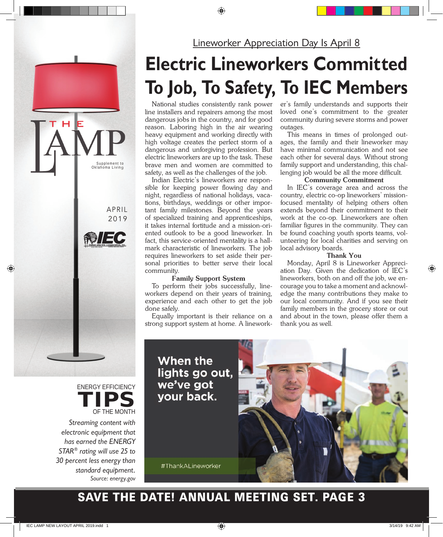#### **Lineworker Appreciation Day Is April 8**

## **Electric Lineworkers Committed To Job, To Safety, To IEC Members**

National studies consistently rank power line installers and repairers among the most dangerous jobs in the country, and for good reason. Laboring high in the air wearing heavy equipment and working directly with high voltage creates the perfect storm of a dangerous and unforgiving profession. But electric lineworkers are up to the task. These brave men and women are committed to safety, as well as the challenges of the job.

Indian Electric's lineworkers are responsible for keeping power flowing day and night, regardless of national holidays, vacations, birthdays, weddings or other important family milestones. Beyond the years of specialized training and apprenticeships, it takes internal fortitude and a mission-oriented outlook to be a good lineworker. In fact, this service-oriented mentality is a hallmark characteristic of lineworkers. The job requires lineworkers to set aside their personal priorities to better serve their local community.

#### **Family Support System**

To perform their jobs successfully, lineworkers depend on their years of training, experience and each other to get the job done safely.

Equally important is their reliance on a strong support system at home. A lineworker's family understands and supports their loved one's commitment to the greater community during severe storms and power outages.

This means in times of prolonged outages, the family and their lineworker may have minimal communication and not see each other for several days. Without strong family support and understanding, this challenging job would be all the more difficult.

#### **Community Commitment**

In IEC's coverage area and across the country, electric co-op lineworkers' missionfocused mentality of helping others often extends beyond their commitment to their work at the co-op. Lineworkers are often familiar figures in the community. They can be found coaching youth sports teams, volunteering for local charities and serving on local advisory boards.

#### **Thank You**

Monday, April 8 is Lineworker Appreciation Day. Given the dedication of IEC's lineworkers, both on and off the job, we encourage you to take a moment and acknowledge the many contributions they make to our local community. And if you see their family members in the grocery store or out and about in the town, please offer them a thank you as well.

When the lights go out, we've got your back.

#ThankALineworker



#### SAVE THE DATE! ANNUAL MEETING SET. PAGE 3

Streaming content with electronic equipment that has earned the ENERGY STAR® rating will use 25 to 30 percent less energy than

> standard equipment. Source: energy.gov



APRIL 2019

indian electric cooperative, inc. 918-295-9500 www.iecok.com

■ / ■

Supplement to<br>Oklahoma Living

 $H$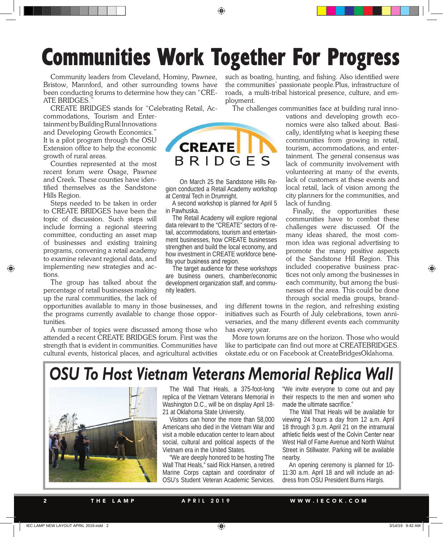## Communities Work Together For Progress

Community leaders from Cleveland, Hominy, Pawnee, Bristow, Mannford, and other surrounding towns have been conducting forums to determine how they can "CRE-ATE BRIDGES.

CREATE BRIDGES stands for "Celebrating Retail, Ac-

commodations, Tourism and Entertainment by Building Rural Innovations and Developing Growth Economics." It is a pilot program through the OSU Extension office to help the economic growth of rural areas.

Counties represented at the most recent forum were Osage, Pawnee and Creek. These counties have identified themselves as the Sandstone Hills Region.

Steps needed to be taken in order to CREATE BRIDGES have been the topic of discussion. Such steps will include forming a regional steering committee, conducting an asset map of businesses and existing training programs, convening a retail academy to examine relevant regional data, and implementing new strategies and actions.

The group has talked about the percentage of retail businesses making up the rural communities, the lack of

opportunities available to many in those businesses, and the programs currently available to change those opportunities.

A number of topics were discussed among those who attended a recent CREATE BRIDGES forum. First was the strength that is evident in communities. Communities have cultural events, historical places, and agricultural activities such as boating, hunting, and fishing. Also identified were the communities' passionate people.Plus, infrastructure of roads, a multi-tribal historical presence, culture, and employment.

The challenges communities face at building rural inno-



On March 25 the Sandstone Hills Region conducted a Retail Academy workshop at Central Tech in Drumright.

A second workshop is planned for April 5 in Pawhuska.

The Retail Academy will explore regional data relevant to the "CREATE" sectors of retail, accommodations, tourism and entertainment businesses, how CREATE businesses strengthen and build the local economy, and how investment in CREATE workforce benefits your business and region.

The target audience for these workshops are business owners, chamber/economic development organization staff, and community leaders.

vations and developing growth economics were also talked about. Basically, identifying what is keeping these communities from growing in retail, tourism, accommodations, and entertainment. The general consensus was lack of community involvement with volunteering at many of the events, lack of customers at these events and local retail, lack of vision among the city planners for the communities, and lack of funding.

Finally, the opportunities these communities have to combat these challenges were discussed. Of the many ideas shared, the most common idea was regional advertising to promote the many positive aspects of the Sandstone Hill Region. This included cooperative business practices not only among the businesses in each community, but among the businesses of the area. This could be done through social media groups, brand-

ing different towns in the region, and refreshing existing initiatives such as Fourth of July celebrations, town anniversaries, and the many different events each community has every year.

More town forums are on the horizon. Those who would like to participate can find out more at CREATEBRIDGES. okstate.edu or on Facebook at CreateBridgesOklahoma.

### **OSU To Host Vietnam Veterans Memorial Replica Wall**



The Wall That Heals, a 375-foot-long replica of the Vietnam Veterans Memorial in Washington D.C., will be on display April 18- 21 at Oklahoma State University.

Visitors can honor the more than 58,000 Americans who died in the Vietnam War and visit a mobile education center to learn about social, cultural and political aspects of the Vietnam era in the United States.

"We are deeply honored to be hosting The Wall That Heals," said Rick Hansen, a retired Marine Corps captain and coordinator of OSU's Student Veteran Academic Services.

"We invite everyone to come out and pay their respects to the men and women who made the ultimate sacrifice."

The Wall That Heals will be available for viewing 24 hours a day from 12 a.m. April 18 through 3 p.m. April 21 on the intramural athletic fields west of the Colvin Center near West Hall of Fame Avenue and North Walnut Street in Stillwater. Parking will be available nearby.

An opening ceremony is planned for 10- 11:30 a.m. April 18 and will include an address from OSU President Burns Hargis.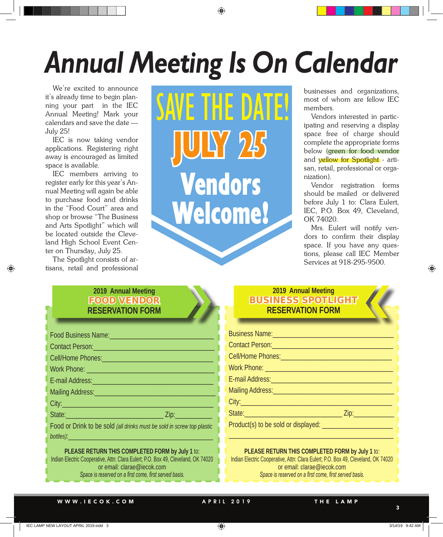# **Annual Meeting Is On Calendar**

We're excited to announce it's already time to begin planning your part in the IEC Annual Meeting! Mark your calendars and save the date — July 25!

IEC is now taking vendor applications. Registering right away is encouraged as limited space is available.

IEC members arriving to register early for this year's Annual Meeting will again be able to purchase food and drinks in the "Food Court" area and shop or browse "The Business and Arts Spotlight" which will be located outside the Cleveland High School Event Center on Thursday, July 25.

The Spotlight consists of artisans, retail and professional SAVE THE DATE! JULY 25 Vendors Welcome!

businesses and organizations, most of whom are fellow IEC members.

Vendors interested in participating and reserving a display space free of charge should complete the appropriate forms below (green for food vendor and yellow for Spotlight - artisan, retail, professional or organization).

Vendor registration forms should be mailed or delivered before July 1 to: Clara Eulert, IEC, P.O. Box 49, Cleveland, OK 74020.

Mrs. Eulert will notify vendors to confirm their display space. If you have any questions, please call IEC Member Services at 918-295-9500.

#### **2019 Annual Meeting** FOOD VENDOR **RESERVATION FORM**

| Food Business Name: Mannell Management Control Management Control Management Control Management Control Management                                                                                                                   |
|--------------------------------------------------------------------------------------------------------------------------------------------------------------------------------------------------------------------------------------|
| Contact Person: New York Contact Person:                                                                                                                                                                                             |
| Cell/Home Phones: Management Control of the Phones:                                                                                                                                                                                  |
| Work Phone: <u>Alexander and Charles and Charles and Charles and Charles and Charles and Charles and Charles and Charles and Charles and Charles and Charles and Charles and Charles and Charles and Charles and Charles and Cha</u> |
| E-mail Address: No. 1994                                                                                                                                                                                                             |
| Mailing Address: Mail Andrea Mail Address: Mail Andrew Mail Address: Mail Address: Mail Address: Mail Address                                                                                                                        |
| City: <u>City: City: City: City: City: City: City: City: City: City: City: City: City: City: City: City: City: City: City: City: City: City: City: City: City: City: City: City: City: City: City: City: City: City: City: City:</u> |
|                                                                                                                                                                                                                                      |
| Food or Drink to be sold (all drinks must be sold in screw top plastic                                                                                                                                                               |
|                                                                                                                                                                                                                                      |

**PLEASE RETURN THIS COMPLETED FORM by July 1** to: Indian Electric Cooperative, Attn: Clara Eulert; P.O. Box 49, Cleveland, OK 74020 or email: clarae@iecok.com *Space is reserved on a first come, first served basis.*

#### **2019 Annual Meeting BUSINESS SPOTLIGHT RESERVATION FORM**

| Business Name: Manual Manual Manual Manual Manual |  |
|---------------------------------------------------|--|
| Contact Person: New York Contact Person:          |  |
|                                                   |  |
|                                                   |  |
|                                                   |  |
|                                                   |  |
|                                                   |  |
|                                                   |  |
|                                                   |  |
|                                                   |  |

#### **PLEASE RETURN THIS COMPLETED FORM by July 1** to: Indian Electric Cooperative, Attn: Clara Eulert; P.O. Box 49, Cleveland, OK 74020

or email: clarae@iecok.com *Space is reserved on a first come, first served basis.*